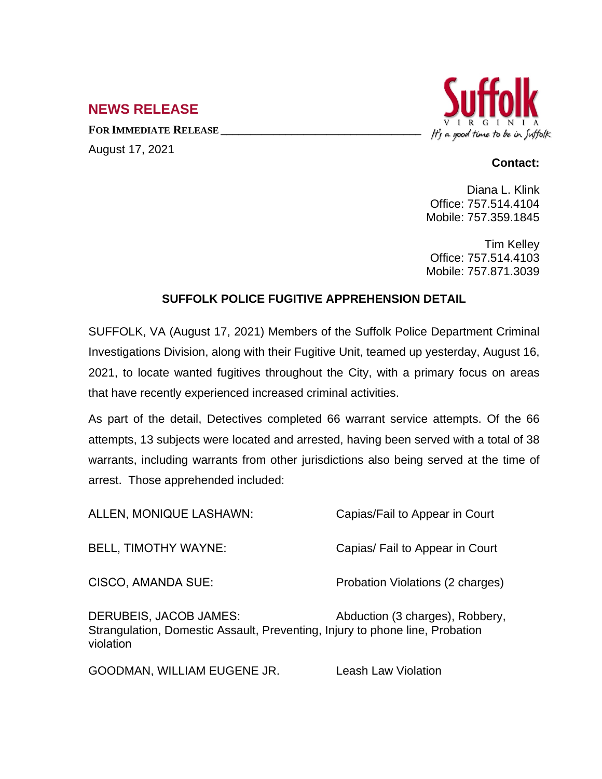## **NEWS RELEASE**

**FOR IMMEDIATE RELEASE \_\_\_\_\_\_\_\_\_\_\_\_\_\_\_\_\_\_\_\_\_\_\_\_\_\_\_\_\_\_\_\_\_\_**

August 17, 2021



## **Contact:**

Diana L. Klink Office: 757.514.4104 Mobile: 757.359.1845

Tim Kelley Office: 757.514.4103 Mobile: 757.871.3039

## **SUFFOLK POLICE FUGITIVE APPREHENSION DETAIL**

SUFFOLK, VA (August 17, 2021) Members of the Suffolk Police Department Criminal Investigations Division, along with their Fugitive Unit, teamed up yesterday, August 16, 2021, to locate wanted fugitives throughout the City, with a primary focus on areas that have recently experienced increased criminal activities.

As part of the detail, Detectives completed 66 warrant service attempts. Of the 66 attempts, 13 subjects were located and arrested, having been served with a total of 38 warrants, including warrants from other jurisdictions also being served at the time of arrest. Those apprehended included:

| ALLEN, MONIQUE LASHAWN:                                                                                                    | Capias/Fail to Appear in Court   |
|----------------------------------------------------------------------------------------------------------------------------|----------------------------------|
| <b>BELL, TIMOTHY WAYNE:</b>                                                                                                | Capias/ Fail to Appear in Court  |
| <b>CISCO, AMANDA SUE:</b>                                                                                                  | Probation Violations (2 charges) |
| <b>DERUBEIS, JACOB JAMES:</b><br>Strangulation, Domestic Assault, Preventing, Injury to phone line, Probation<br>violation | Abduction (3 charges), Robbery,  |
| GOODMAN, WILLIAM EUGENE JR.                                                                                                | Leash Law Violation              |